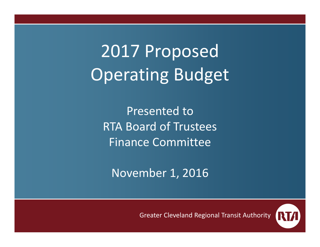2017 Proposed Operating Budget

Presented toRTA Board of Trustees Finance Committee

November 1, 2016

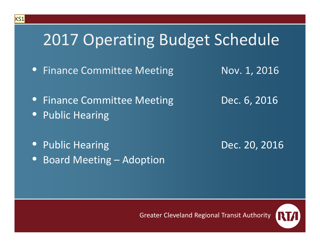# 2017 Operating Budget Schedule

- Finance Committee Meeting Mov. 1, 2016
- 
- Finance Committee Meeting **Dec. 6, 2016**
- $\bullet$ **•** Public Hearing

 $|KS1|$ 

• Public• Board Meeting – Adoption

Dec. 20, 2016

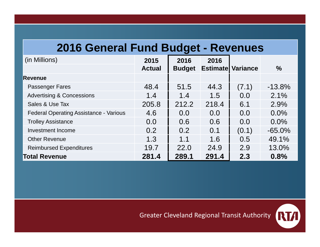#### **2016 General Fund Budget - Revenues**

| (in Millions)                                 | 2015          | 2016          | 2016  |                           |           |
|-----------------------------------------------|---------------|---------------|-------|---------------------------|-----------|
|                                               | <b>Actual</b> | <b>Budget</b> |       | <b>Estimatel Variance</b> | $\%$      |
| <b>Revenue</b>                                |               |               |       |                           |           |
| <b>Passenger Fares</b>                        | 48.4          | 51.5          | 44.3  | (7.1)                     | $-13.8%$  |
| <b>Advertising &amp; Concessions</b>          | 1.4           | 1.4           | 1.5   | 0.0                       | 2.1%      |
| Sales & Use Tax                               | 205.8         | 212.2         | 218.4 | 6.1                       | 2.9%      |
| <b>Federal Operating Assistance - Various</b> | 4.6           | 0.0           | 0.0   | 0.0                       | 0.0%      |
| <b>Trolley Assistance</b>                     | 0.0           | 0.6           | 0.6   | 0.0                       | 0.0%      |
| <b>Investment Income</b>                      | 0.2           | 0.2           | 0.1   | (0.1)                     | $-65.0\%$ |
| <b>Other Revenue</b>                          | 1.3           | 1.1           | 1.6   | 0.5                       | 49.1%     |
| <b>Reimbursed Expenditures</b>                | 19.7          | 22.0          | 24.9  | 2.9                       | 13.0%     |
| <b>Total Revenue</b>                          | 281.4         | 289.1         | 291.4 | 2.3                       | 0.8%      |

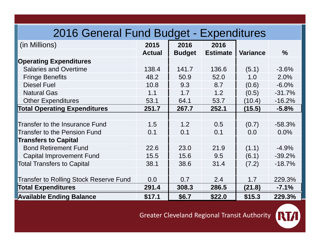### 2016 General Fund Budget - Expenditures

| (in Millions)                                 | 2015          | 2016          | 2016            |                 |               |
|-----------------------------------------------|---------------|---------------|-----------------|-----------------|---------------|
|                                               | <b>Actual</b> | <b>Budget</b> | <b>Estimate</b> | <b>Variance</b> | $\frac{0}{0}$ |
| <b>Operating Expenditures</b>                 |               |               |                 |                 |               |
| <b>Salaries and Overtime</b>                  | 138.4         | 141.7         | 136.6           | (5.1)           | $-3.6%$       |
| <b>Fringe Benefits</b>                        | 48.2          | 50.9          | 52.0            | 1.0             | 2.0%          |
| <b>Diesel Fuel</b>                            | 10.8          | 9.3           | 8.7             | (0.6)           | $-6.0%$       |
| <b>Natural Gas</b>                            | 1.1           | 1.7           | 1.2             | (0.5)           | $-31.7%$      |
| <b>Other Expenditures</b>                     | 53.1          | 64.1          | 53.7            | (10.4)          | $-16.2%$      |
| <b>Total Operating Expenditures</b>           | 251.7         | 267.7         | 252.1           | (15.5)          | $-5.8%$       |
|                                               |               |               |                 |                 |               |
| Transfer to the Insurance Fund                | 1.5           | 1.2           | 0.5             | (0.7)           | $-58.3%$      |
| <b>Transfer to the Pension Fund</b>           | 0.1           | 0.1           | 0.1             | 0.0             | 0.0%          |
| <b>Transfers to Capital</b>                   |               |               |                 |                 |               |
| <b>Bond Retirement Fund</b>                   | 22.6          | 23.0          | 21.9            | (1.1)           | $-4.9%$       |
| <b>Capital Improvement Fund</b>               | 15.5          | 15.6          | 9.5             | (6.1)           | $-39.2%$      |
| <b>Total Transfers to Capital</b>             | 38.1          | 38.6          | 31.4            | (7.2)           | $-18.7%$      |
|                                               |               |               |                 |                 |               |
| <b>Transfer to Rolling Stock Reserve Fund</b> | 0.0           | 0.7           | 2.4             | 1.7             | 229.3%        |
| <b>Total Expenditures</b>                     | 291.4         | 308.3         | 286.5           | (21.8)          | $-7.1%$       |
| <b>Available Ending Balance</b>               | \$17.1        | \$6.7         | \$22.0          | \$15.3          | 229.3%        |

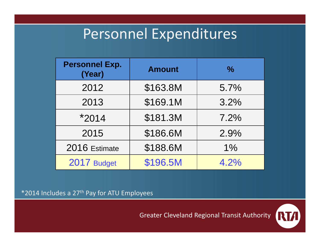## Personnel Expenditures

| <b>Personnel Exp.</b><br>(Year) | <b>Amount</b> | $\frac{0}{0}$ |
|---------------------------------|---------------|---------------|
| 2012                            | \$163.8M      | 5.7%          |
| 2013                            | \$169.1M      | 3.2%          |
| $*2014$                         | \$181.3M      | 7.2%          |
| 2015                            | \$186.6M      | 2.9%          |
| 2016 Estimate                   | \$188.6M      | 1%            |
| 2017 Budget                     | \$196.5M      | 4.2%          |

\*2014 Includes <sup>a</sup> 27th Pay for ATU Employees

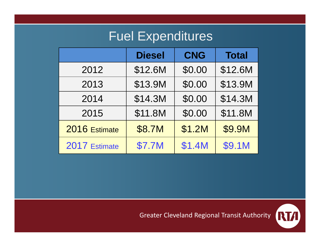## Fuel Expenditures

|               | <b>Diesel</b> | <b>CNG</b> | <b>Total</b> |
|---------------|---------------|------------|--------------|
| 2012          | \$12.6M       | \$0.00     | \$12.6M      |
| 2013          | \$13.9M       | \$0.00     | \$13.9M      |
| 2014          | \$14.3M       | \$0.00     | \$14.3M      |
| 2015          | \$11.8M       | \$0.00     | \$11.8M      |
| 2016 Estimate | \$8.7M        | \$1.2M     | \$9.9M       |
| 2017 Estimate | <b>\$7.7M</b> | \$1.4M     | \$9.1M       |

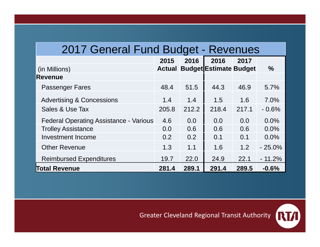#### 2017 General Fund Budget - Revenues

|                                               | 2015          | 2016  | 2016                          | 2017  |          |
|-----------------------------------------------|---------------|-------|-------------------------------|-------|----------|
| (in Millions)                                 | <b>Actual</b> |       | <b>Budget Estimate Budget</b> |       | $\%$     |
| <b>Revenue</b>                                |               |       |                               |       |          |
| <b>Passenger Fares</b>                        | 48.4          | 51.5  | 44.3                          | 46.9  | 5.7%     |
| <b>Advertising &amp; Concessions</b>          | 1.4           | 1.4   | 1.5                           | 1.6   | 7.0%     |
| Sales & Use Tax                               | 205.8         | 212.2 | 218.4                         | 217.1 | $-0.6%$  |
| <b>Federal Operating Assistance - Various</b> | 4.6           | 0.0   | 0.0                           | 0.0   | 0.0%     |
| <b>Trolley Assistance</b>                     | 0.0           | 0.6   | 0.6                           | 0.6   | 0.0%     |
| <b>Investment Income</b>                      | 0.2           | 0.2   | 0.1                           | 0.1   | $0.0\%$  |
| <b>Other Revenue</b>                          | 1.3           | 1.1   | 1.6                           | 1.2   | $-25.0%$ |
| <b>Reimbursed Expenditures</b>                | 19.7          | 22.0  | 24.9                          | 22.1  | $-11.2%$ |
| <b>Total Revenue</b>                          | 281.4         | 289.1 | 291.4                         | 289.5 | $-0.6%$  |

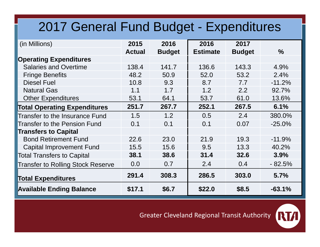### 2017 General Fund Budget - Expenditures

| (in Millions)                            | 2015          | 2016          | 2016            | 2017          |               |
|------------------------------------------|---------------|---------------|-----------------|---------------|---------------|
|                                          | <b>Actual</b> | <b>Budget</b> | <b>Estimate</b> | <b>Budget</b> | $\frac{9}{6}$ |
| <b>Operating Expenditures</b>            |               |               |                 |               |               |
| <b>Salaries and Overtime</b>             | 138.4         | 141.7         | 136.6           | 143.3         | 4.9%          |
| <b>Fringe Benefits</b>                   | 48.2          | 50.9          | 52.0            | 53.2          | 2.4%          |
| <b>Diesel Fuel</b>                       | 10.8          | 9.3           | 8.7             | 7.7           | $-11.2%$      |
| <b>Natural Gas</b>                       | 1.1           | 1.7           | 1.2             | 2.2           | 92.7%         |
| <b>Other Expenditures</b>                | 53.1          | 64.1          | 53.7            | 61.0          | 13.6%         |
| <b>Total Operating Expenditures</b>      | 251.7         | 267.7         | 252.1           | 267.5         | 6.1%          |
| Transfer to the Insurance Fund           | 1.5           | 1.2           | 0.5             | 2.4           | 380.0%        |
| <b>Transfer to the Pension Fund</b>      | 0.1           | 0.1           | 0.1             | 0.07          | $-25.0%$      |
| <b>Transfers to Capital</b>              |               |               |                 |               |               |
| <b>Bond Retirement Fund</b>              | 22.6          | 23.0          | 21.9            | 19.3          | $-11.9%$      |
| <b>Capital Improvement Fund</b>          | 15.5          | 15.6          | 9.5             | 13.3          | 40.2%         |
| <b>Total Transfers to Capital</b>        | 38.1          | 38.6          | 31.4            | 32.6          | 3.9%          |
| <b>Transfer to Rolling Stock Reserve</b> | 0.0           | 0.7           | 2.4             | 0.4           | $-82.5%$      |
| <b>Total Expenditures</b>                | 291.4         | 308.3         | 286.5           | 303.0         | 5.7%          |
| <b>Available Ending Balance</b>          | \$17.1        | \$6.7         | \$22.0          | \$8.5         | $-63.1%$      |

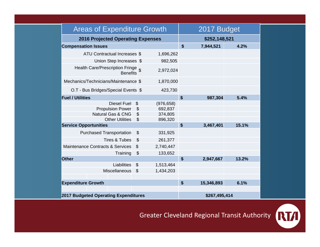| <b>Areas of Expenditure Growth</b>                    |                       |                           | 2017 Budget               |           |       |  |
|-------------------------------------------------------|-----------------------|---------------------------|---------------------------|-----------|-------|--|
| <b>2016 Projected Operating Expenses</b>              |                       |                           | \$252,148,521             |           |       |  |
| <b>Compensation Issues</b>                            |                       |                           | $\boldsymbol{\mathsf{s}}$ | 7,944,521 | 4.2%  |  |
| ATU Contractual Increases \$                          |                       | 1,696,262                 |                           |           |       |  |
| Union Step Increases \$                               |                       | 982,505                   |                           |           |       |  |
| Health Care/Prescription Fringe \$<br><b>Benefits</b> |                       | 2,972,024                 |                           |           |       |  |
| Mechanics/Technicians/Maintenance \$                  |                       | 1,870,000                 |                           |           |       |  |
| O.T - Bus Bridges/Special Events \$                   |                       | 423,730                   |                           |           |       |  |
| <b>Fuel / Utilities</b>                               |                       |                           | \$                        | 987,304   | 5.4%  |  |
| <b>Diesel Fuel</b>                                    | \$                    | (976, 658)                |                           |           |       |  |
| <b>Propulsion Power</b>                               | \$                    | 692,837                   |                           |           |       |  |
| <b>Natural Gas &amp; CNG</b>                          | \$                    | 374,805                   |                           |           |       |  |
| <b>Other Utilities</b>                                | \$                    | 896,320                   |                           |           |       |  |
| <b>Service Opportunities</b>                          |                       |                           | \$                        | 3,467,401 | 15.1% |  |
| <b>Purchased Transportation</b>                       | \$                    | 331,925                   |                           |           |       |  |
| <b>Tires &amp; Tubes</b>                              | $\boldsymbol{\theta}$ | 261,377                   |                           |           |       |  |
| <b>Maintenance Contracts &amp; Services</b>           | \$                    | 2,740,447                 |                           |           |       |  |
| Training                                              | $\frac{1}{2}$         | 133,652                   |                           |           |       |  |
| <b>Other</b>                                          |                       |                           | $\boldsymbol{\mathsf{s}}$ | 2,947,667 | 13.2% |  |
| Liabilities                                           | \$                    | 1,513,464                 |                           |           |       |  |
| <b>Miscellaneous</b>                                  | \$                    | 1,434,203                 |                           |           |       |  |
|                                                       |                       |                           |                           |           |       |  |
| <b>Expenditure Growth</b>                             |                       | $\boldsymbol{\mathsf{s}}$ | 15,346,893                | 6.1%      |       |  |
|                                                       |                       |                           |                           |           |       |  |
| <b>2017 Budgeted Operating Expenditures</b>           |                       |                           | \$267,495,414             |           |       |  |

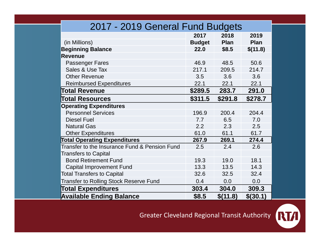| 2017 - 2019 General Fund Budgets              |               |             |             |  |  |  |
|-----------------------------------------------|---------------|-------------|-------------|--|--|--|
|                                               | 2017          | 2018        | 2019        |  |  |  |
| (in Millions)                                 | <b>Budget</b> | <b>Plan</b> | <b>Plan</b> |  |  |  |
| <b>Beginning Balance</b>                      | 22.0          | \$8.5       | \$(11.8)    |  |  |  |
| <b>Revenue</b>                                |               |             |             |  |  |  |
| <b>Passenger Fares</b>                        | 46.9          | 48.5        | 50.6        |  |  |  |
| Sales & Use Tax                               | 217.1         | 209.5       | 214.7       |  |  |  |
| <b>Other Revenue</b>                          | 3.5           | 3.6         | 3.6         |  |  |  |
| <b>Reimbursed Expenditures</b>                | 22.1          | 22.1        | 22.1        |  |  |  |
| <b>Total Revenue</b>                          | \$289.5       | 283.7       | 291.0       |  |  |  |
| <b>Total Resources</b>                        | \$311.5       | \$291.8     | \$278.7     |  |  |  |
| <b>Operating Expenditures</b>                 |               |             |             |  |  |  |
| <b>Personnel Services</b>                     | 196.9         | 200.4       | 204.4       |  |  |  |
| <b>Diesel Fuel</b>                            | 7.7           | 6.5         | 7.0         |  |  |  |
| <b>Natural Gas</b>                            | 2.2           | 2.3         | 2.5         |  |  |  |
| <b>Other Expenditures</b>                     | 61.0          | 61.1        | 61.7        |  |  |  |
| <b>Total Operating Expenditures</b>           | 267.9         | 269.1       | 274.4       |  |  |  |
| Transfer to the Insurance Fund & Pension Fund | 2.5           | 2.4         | 2.6         |  |  |  |
| <b>Transfers to Capital</b>                   |               |             |             |  |  |  |
| <b>Bond Retirement Fund</b>                   | 19.3          | 19.0        | 18.1        |  |  |  |
| <b>Capital Improvement Fund</b>               | 13.3          | 13.5        | 14.3        |  |  |  |
| <b>Total Transfers to Capital</b>             | 32.6          | 32.5        | 32.4        |  |  |  |
| <b>Transfer to Rolling Stock Reserve Fund</b> | 0.4           | 0.0         | 0.0         |  |  |  |
| <b>Total Expenditures</b>                     | 303.4         | 304.0       | 309.3       |  |  |  |
| <b>Available Ending Balance</b>               | \$8.5         | \$(11.8)    | $$$ (30.1)  |  |  |  |

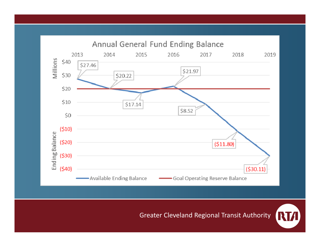